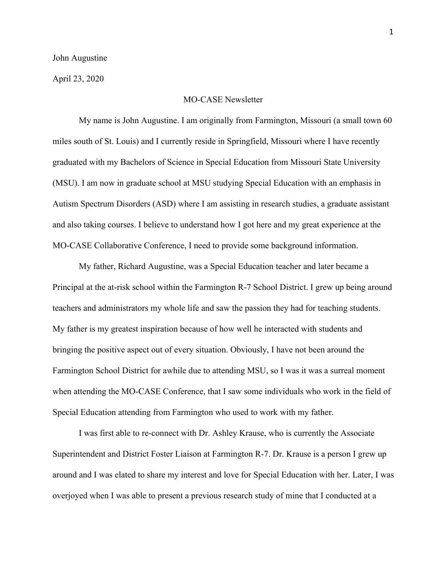April 23, 2020

## MO-CASE Newsletter

My name is John Augustine. I am originally from Farmington, Missouri (a small town 60 miles south of St. Louis) and I currently reside in Springfield, Missouri where I have recently graduated with my Bachelors of Science in Special Education from Missouri State University (MSU). I am now in graduate school at MSU studying Special Education with an emphasis in Autism Spectrum Disorders (ASD) where I am assisting in research studies, a graduate assistant and also taking courses. I believe to understand how I got here and my great experience at the MO-CASE Collaborative Conference, I need to provide some background information.

My father, Richard Augustine, was a Special Education teacher and later became a Principal at the at-risk school within the Farmington R-7 School District. I grew up being around teachers and administrators my whole life and saw the passion they had for teaching students. My father is my greatest inspiration because of how well he interacted with students and bringing the positive aspect out of every situation. Obviously, I have not been around the Farmington School District for awhile due to attending MSU, so I was it was a surreal moment when attending the MO-CASE Conference, that I saw some individuals who work in the field of Special Education attending from Farmington who used to work with my father.

I was first able to re-connect with Dr. Ashley Krause, who is currently the Associate Superintendent and District Foster Liaison at Farmington R-7. Dr. Krause is a person I grew up around and I was elated to share my interest and love for Special Education with her. Later, I was overjoyed when I was able to present a previous research study of mine that I conducted at a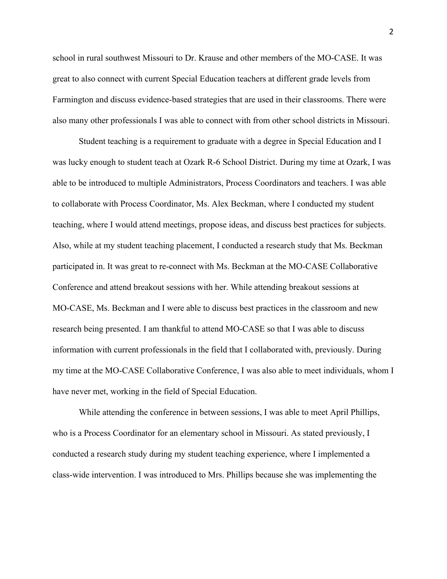school in rural southwest Missouri to Dr. Krause and other members of the MO-CASE. It was great to also connect with current Special Education teachers at different grade levels from Farmington and discuss evidence-based strategies that are used in their classrooms. There were also many other professionals I was able to connect with from other school districts in Missouri.

Student teaching is a requirement to graduate with a degree in Special Education and I was lucky enough to student teach at Ozark R-6 School District. During my time at Ozark, I was able to be introduced to multiple Administrators, Process Coordinators and teachers. I was able to collaborate with Process Coordinator, Ms. Alex Beckman, where I conducted my student teaching, where I would attend meetings, propose ideas, and discuss best practices for subjects. Also, while at my student teaching placement, I conducted a research study that Ms. Beckman participated in. It was great to re-connect with Ms. Beckman at the MO-CASE Collaborative Conference and attend breakout sessions with her. While attending breakout sessions at MO-CASE, Ms. Beckman and I were able to discuss best practices in the classroom and new research being presented. I am thankful to attend MO-CASE so that I was able to discuss information with current professionals in the field that I collaborated with, previously. During my time at the MO-CASE Collaborative Conference, I was also able to meet individuals, whom I have never met, working in the field of Special Education.

While attending the conference in between sessions, I was able to meet April Phillips, who is a Process Coordinator for an elementary school in Missouri. As stated previously, I conducted a research study during my student teaching experience, where I implemented a class-wide intervention. I was introduced to Mrs. Phillips because she was implementing the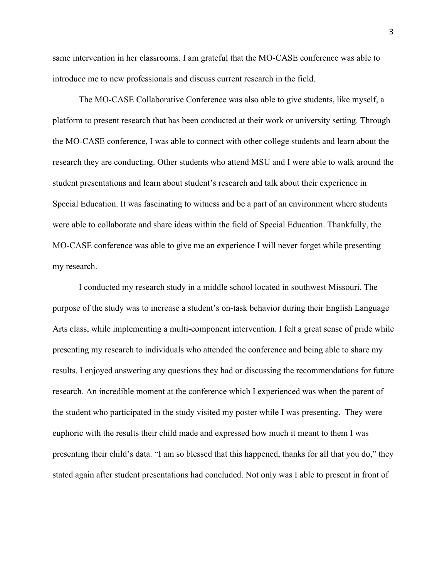same intervention in her classrooms. I am grateful that the MO-CASE conference was able to introduce me to new professionals and discuss current research in the field.

The MO-CASE Collaborative Conference was also able to give students, like myself, a platform to present research that has been conducted at their work or university setting. Through the MO-CASE conference, I was able to connect with other college students and learn about the research they are conducting. Other students who attend MSU and I were able to walk around the student presentations and learn about student's research and talk about their experience in Special Education. It was fascinating to witness and be a part of an environment where students were able to collaborate and share ideas within the field of Special Education. Thankfully, the MO-CASE conference was able to give me an experience I will never forget while presenting my research.

I conducted my research study in a middle school located in southwest Missouri. The purpose of the study was to increase a student's on-task behavior during their English Language Arts class, while implementing a multi-component intervention. I felt a great sense of pride while presenting my research to individuals who attended the conference and being able to share my results. I enjoyed answering any questions they had or discussing the recommendations for future research. An incredible moment at the conference which I experienced was when the parent of the student who participated in the study visited my poster while I was presenting. They were euphoric with the results their child made and expressed how much it meant to them I was presenting their child's data. "I am so blessed that this happened, thanks for all that you do," they stated again after student presentations had concluded. Not only was I able to present in front of